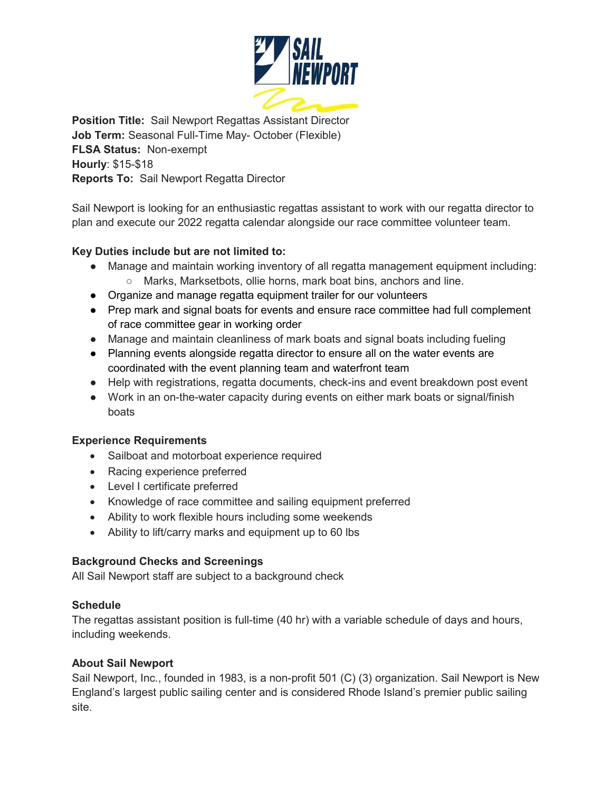

**Position Title:** Sail Newport Regattas Assistant Director **Job Term:** Seasonal Full-Time May- October (Flexible) **FLSA Status:** Non-exempt **Hourly**: \$15-\$18 **Reports To:** Sail Newport Regatta Director

Sail Newport is looking for an enthusiastic regattas assistant to work with our regatta director to plan and execute our 2022 regatta calendar alongside our race committee volunteer team.

# **Key Duties include but are not limited to:**

- Manage and maintain working inventory of all regatta management equipment including: ○ Marks, Marksetbots, ollie horns, mark boat bins, anchors and line.
- Organize and manage regatta equipment trailer for our volunteers
- Prep mark and signal boats for events and ensure race committee had full complement of race committee gear in working order
- Manage and maintain cleanliness of mark boats and signal boats including fueling
- Planning events alongside regatta director to ensure all on the water events are coordinated with the event planning team and waterfront team
- Help with registrations, regatta documents, check-ins and event breakdown post event
- Work in an on-the-water capacity during events on either mark boats or signal/finish boats

# **Experience Requirements**

- Sailboat and motorboat experience required
- Racing experience preferred
- Level I certificate preferred
- Knowledge of race committee and sailing equipment preferred
- Ability to work flexible hours including some weekends
- Ability to lift/carry marks and equipment up to 60 lbs

# **Background Checks and Screenings**

All Sail Newport staff are subject to a background check

# **Schedule**

The regattas assistant position is full-time (40 hr) with a variable schedule of days and hours, including weekends.

# **About Sail Newport**

Sail Newport, Inc., founded in 1983, is a non-profit 501 (C) (3) organization. Sail Newport is New England's largest public sailing center and is considered Rhode Island's premier public sailing site.